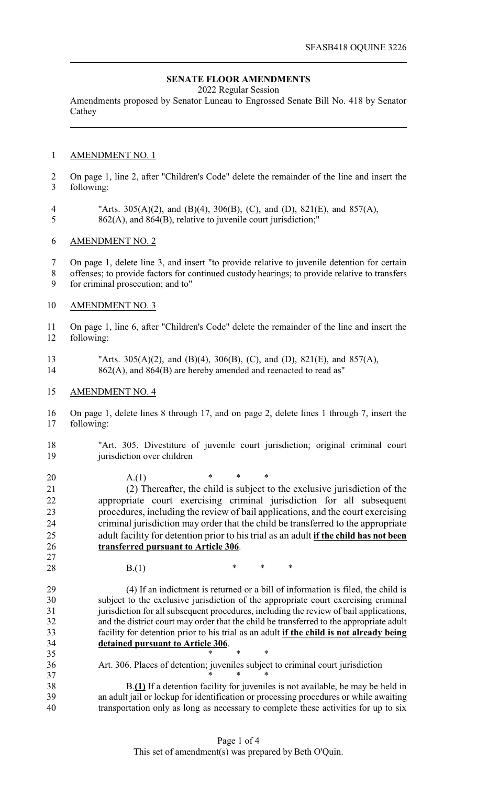## **SENATE FLOOR AMENDMENTS**

2022 Regular Session

Amendments proposed by Senator Luneau to Engrossed Senate Bill No. 418 by Senator Cathey

## AMENDMENT NO. 1

 On page 1, line 2, after "Children's Code" delete the remainder of the line and insert the following:

 "Arts. 305(A)(2), and (B)(4), 306(B), (C), and (D), 821(E), and 857(A), 862(A), and 864(B), relative to juvenile court jurisdiction;"

## AMENDMENT NO. 2

On page 1, delete line 3, and insert "to provide relative to juvenile detention for certain

- offenses; to provide factors for continued custody hearings; to provide relative to transfers for criminal prosecution; and to"
- AMENDMENT NO. 3

 On page 1, line 6, after "Children's Code" delete the remainder of the line and insert the following:

- "Arts. 305(A)(2), and (B)(4), 306(B), (C), and (D), 821(E), and 857(A), 14 862(A), and 864(B) are hereby amended and reenacted to read as"
- AMENDMENT NO. 4

 On page 1, delete lines 8 through 17, and on page 2, delete lines 1 through 7, insert the following:

 "Art. 305. Divestiture of juvenile court jurisdiction; original criminal court jurisdiction over children

20  $A.(1)$  \* \* \*

 (2) Thereafter, the child is subject to the exclusive jurisdiction of the appropriate court exercising criminal jurisdiction for all subsequent procedures, including the review of bail applications, and the court exercising criminal jurisdiction may order that the child be transferred to the appropriate adult facility for detention prior to his trial as an adult **if the child has not been transferred pursuant to Article 306**.

35 \* \* \* \*

28 B.(1)  $*$  \* \*

 (4) If an indictment is returned or a bill of information is filed, the child is subject to the exclusive jurisdiction of the appropriate court exercising criminal 31 jurisdiction for all subsequent procedures, including the review of bail applications,<br>32 and the district court may order that the child be transferred to the appropriate adult and the district court may order that the child be transferred to the appropriate adult facility for detention prior to his trial as an adult **if the child is not already being detained pursuant to Article 306**.

Art. 306. Places of detention; juveniles subject to criminal court jurisdiction

37 \* \* \* \* B.**(1)** If a detention facility for juveniles is not available, he may be held in an adult jail or lockup for identification or processing procedures or while awaiting transportation only as long as necessary to complete these activities for up to six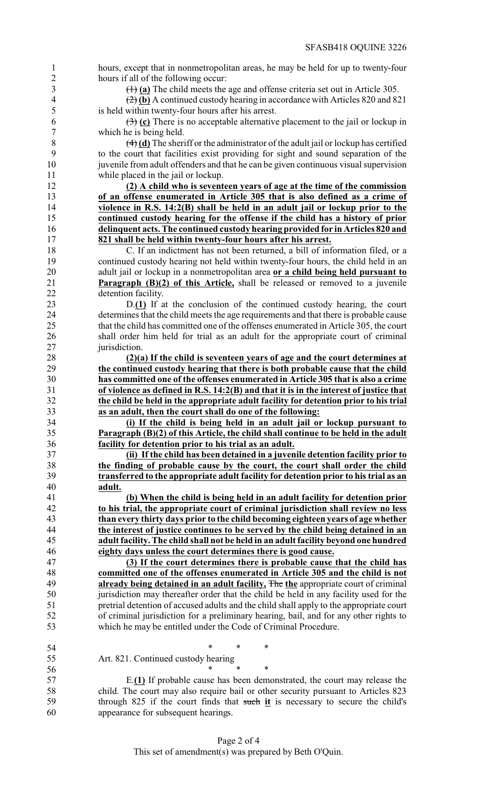hours, except that in nonmetropolitan areas, he may be held for up to twenty-four hours if all of the following occur:

(1) **(a)** The child meets the age and offense criteria set out in Article 305.

 (2) **(b)** A continued custody hearing in accordance with Articles 820 and 821 is held within twenty-four hours after his arrest.

 (3) **(c)** There is no acceptable alternative placement to the jail or lockup in which he is being held.

 (4) **(d)** The sheriff or the administrator of the adult jail or lockup has certified to the court that facilities exist providing for sight and sound separation of the juvenile from adult offenders and that he can be given continuous visual supervision while placed in the jail or lockup.

 **(2) A child who is seventeen years of age at the time of the commission of an offense enumerated in Article 305 that is also defined as a crime of violence in R.S. 14:2(B) shall be held in an adult jail or lockup prior to the continued custody hearing for the offense if the child has a history of prior delinquent acts. The continued custody hearing provided for in Articles 820 and 821 shall be held within twenty-four hours after his arrest.**

 C. If an indictment has not been returned, a bill of information filed, or a continued custody hearing not held within twenty-four hours, the child held in an adult jail or lockup in a nonmetropolitan area **or a child being held pursuant to Paragraph (B)(2) of this Article,** shall be released or removed to a juvenile detention facility.

 D.**(1)** If at the conclusion of the continued custody hearing, the court 24 determines that the child meets the age requirements and that there is probable cause<br>25 that the child has committed one of the offenses enumerated in Article 305, the court that the child has committed one of the offenses enumerated in Article 305, the court shall order him held for trial as an adult for the appropriate court of criminal jurisdiction.

 **(2)(a) If the child is seventeen years of age and the court determines at the continued custody hearing that there is both probable cause that the child has committed one of the offenses enumerated in Article 305 that is also a crime of violence as defined in R.S. 14:2(B) and that it is in the interest of justice that the child be held in the appropriate adult facility for detention prior to his trial as an adult, then the court shall do one of the following:**

 **(i) If the child is being held in an adult jail or lockup pursuant to Paragraph (B)(2) of this Article, the child shall continue to be held in the adult facility for detention prior to his trial as an adult.**

 **(ii) If the child has been detained in a juvenile detention facility prior to the finding of probable cause by the court, the court shall order the child transferred to the appropriate adult facility for detention prior to his trial as an adult.**

 **(b) When the child is being held in an adult facility for detention prior to his trial, the appropriate court of criminal jurisdiction shall review no less than every thirty days prior to the child becoming eighteen years of age whether the interest of justice continues to be served by the child being detained in an adult facility. The child shall not be held in an adult facility beyond one hundred eighty days unless the court determines there is good cause.**

 **(3) If the court determines there is probable cause that the child has committed one of the offenses enumerated in Article 305 and the child is not already being detained in an adult facility,** The **the** appropriate court of criminal jurisdiction may thereafter order that the child be held in any facility used for the pretrial detention of accused adults and the child shall apply to the appropriate court 52 of criminal jurisdiction for a preliminary hearing, bail, and for any other rights to which he may be entitled under the Code of Criminal Procedure. which he may be entitled under the Code of Criminal Procedure.

 \* \* \* Art. 821. Continued custody hearing

 $*$  \* \* \*

 E.**(1)** If probable cause has been demonstrated, the court may release the child. The court may also require bail or other security pursuant to Articles 823 through 825 if the court finds that such **it** is necessary to secure the child's appearance for subsequent hearings.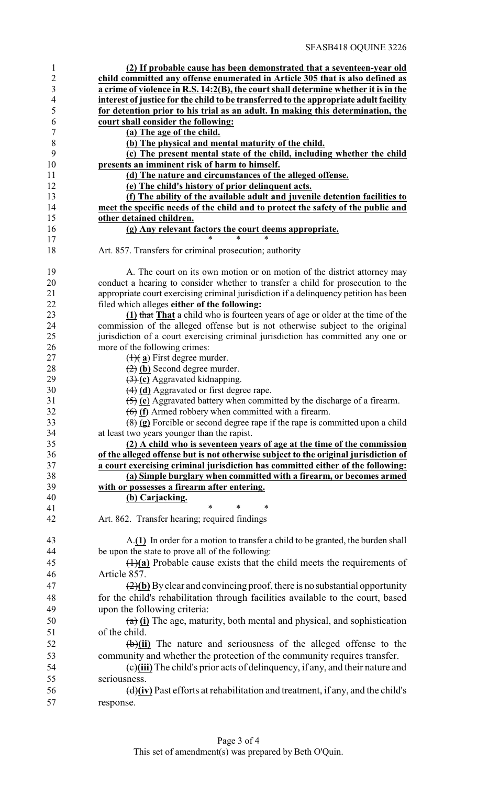| $\mathbf{1}$     | (2) If probable cause has been demonstrated that a seventeen-year old                                                  |
|------------------|------------------------------------------------------------------------------------------------------------------------|
| $\overline{2}$   | child committed any offense enumerated in Article 305 that is also defined as                                          |
| $\mathfrak{Z}$   | a crime of violence in R.S. 14:2(B), the court shall determine whether it is in the                                    |
| $\overline{4}$   | interest of justice for the child to be transferred to the appropriate adult facility                                  |
| 5                | for detention prior to his trial as an adult. In making this determination, the                                        |
| 6                | court shall consider the following:                                                                                    |
| $\boldsymbol{7}$ | (a) The age of the child.                                                                                              |
| $\,8\,$          | (b) The physical and mental maturity of the child.                                                                     |
| 9                | (c) The present mental state of the child, including whether the child                                                 |
| 10               | presents an imminent risk of harm to himself.                                                                          |
| 11               | (d) The nature and circumstances of the alleged offense.                                                               |
| 12               | (e) The child's history of prior delinquent acts.                                                                      |
| 13               | (f) The ability of the available adult and juvenile detention facilities to                                            |
| 14               | meet the specific needs of the child and to protect the safety of the public and                                       |
| 15               | other detained children.                                                                                               |
| 16               | (g) Any relevant factors the court deems appropriate.                                                                  |
| 17<br>18         | Art. 857. Transfers for criminal prosecution; authority                                                                |
| 19               | A. The court on its own motion or on motion of the district attorney may                                               |
| 20               | conduct a hearing to consider whether to transfer a child for prosecution to the                                       |
| 21               | appropriate court exercising criminal jurisdiction if a delinquency petition has been                                  |
| 22               | filed which alleges either of the following:                                                                           |
| 23               | (1) that That a child who is fourteen years of age or older at the time of the                                         |
| 24               | commission of the alleged offense but is not otherwise subject to the original                                         |
| 25               | jurisdiction of a court exercising criminal jurisdiction has committed any one or                                      |
| 26               | more of the following crimes:                                                                                          |
| 27               | $(\frac{1}{2})$ First degree murder.                                                                                   |
| 28               | $\left(\frac{1}{2}\right)$ (b) Second degree murder.                                                                   |
| 29               | $\left(\frac{3}{2}\right)$ (c) Aggravated kidnapping.                                                                  |
| 30               | $(4)$ (d) Aggravated or first degree rape.                                                                             |
| 31               | $\left(\frac{5}{2}\right)$ (e) Aggravated battery when committed by the discharge of a firearm.                        |
| 32               | $\left(\frac{1}{10}\right)$ (f) Armed robbery when committed with a firearm.                                           |
| 33<br>34         | $\left(\frac{8}{8}\right)$ (g) Forcible or second degree rape if the rape is committed upon a child                    |
| 35               | at least two years younger than the rapist.<br>(2) A child who is seventeen years of age at the time of the commission |
| 36               | of the alleged offense but is not otherwise subject to the original jurisdiction of                                    |
| 37               | a court exercising criminal jurisdiction has committed either of the following:                                        |
| 38               | (a) Simple burglary when committed with a firearm, or becomes armed                                                    |
| 39               | with or possesses a firearm after entering.                                                                            |
| 40               | (b) Carjacking.                                                                                                        |
| 41               | $\ast$<br>$\ast$                                                                                                       |
| 42               | Art. 862. Transfer hearing; required findings                                                                          |
| 43               | A.(1) In order for a motion to transfer a child to be granted, the burden shall                                        |
| 44               | be upon the state to prove all of the following:                                                                       |
| 45               | $(1)(a)$ Probable cause exists that the child meets the requirements of                                                |
| 46               | Article 857.                                                                                                           |
| 47               | $\left(\frac{2}{b}\right)$ By clear and convincing proof, there is no substantial opportunity                          |
| 48               | for the child's rehabilitation through facilities available to the court, based                                        |
| 49               | upon the following criteria:                                                                                           |
| 50               | $(a)$ (i) The age, maturity, both mental and physical, and sophistication                                              |
| 51               | of the child.                                                                                                          |
|                  |                                                                                                                        |
| 52               | $\overline{(\theta)}$ (ii) The nature and seriousness of the alleged offense to the                                    |
| 53               | community and whether the protection of the community requires transfer.                                               |
| 54               | (e)(iii) The child's prior acts of delinquency, if any, and their nature and                                           |
| 55               | seriousness.                                                                                                           |
| 56               | $\left(\frac{d}{dv}\right)$ Past efforts at rehabilitation and treatment, if any, and the child's                      |
| 57               | response.                                                                                                              |